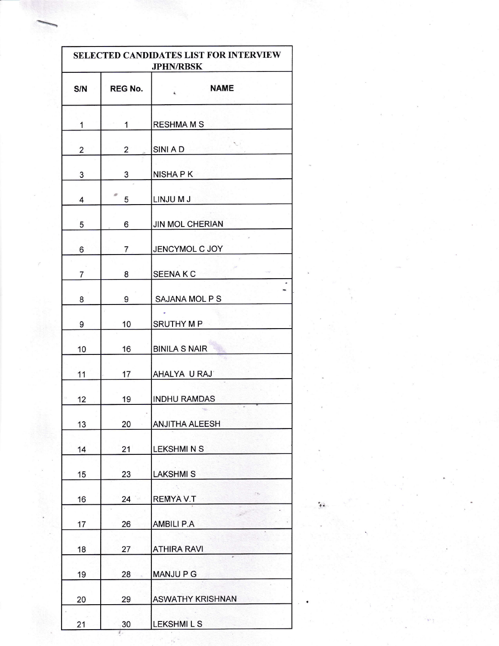| SELECTED CANDIDATES LIST FOR INTERVIEW<br><b>JPHN/RBSK</b> |                |                            |
|------------------------------------------------------------|----------------|----------------------------|
| S/N                                                        | <b>REG No.</b> | <b>NAME</b><br>é,          |
| 1                                                          | $\mathbf{1}$   | <b>RESHMA M S</b>          |
| $\overline{c}$                                             | $\overline{2}$ | SINI A D                   |
| 3                                                          | 3              | NISHA P K                  |
| 4                                                          | 5              | LINJU M J                  |
| 5                                                          | 6              | <b>JIN MOL CHERIAN</b>     |
| 6                                                          | 7              | JENCYMOL C JOY             |
| 7                                                          | 8              | <b>SEENAKC</b>             |
| 8                                                          | 9              | SAJANA MOL P S             |
| 9                                                          | 10             | <b>SRUTHY MP</b>           |
| 10                                                         | 16             | <b>BINILA S NAIR</b>       |
| 11                                                         | 17             | AHALYA U RAJ               |
| 12                                                         | 19             | <b>INDHU RAMDAS</b>        |
| 13                                                         | 20             | <b>ANJITHA ALEESH</b>      |
| 14                                                         | 21             | <b>LEKSHMINS</b>           |
| 15                                                         | 23             | <b>LAKSHMIS</b>            |
| 16                                                         | 24             | $z_{2}$<br><b>REMYAV.T</b> |
| 17                                                         | 26             | <b>AMBILI P.A</b>          |
| 18                                                         | 27             | <b>ATHIRA RAVI</b>         |
| 19                                                         | 28             | <b>MANJUPG</b>             |
| 20                                                         | 29             | <b>ASWATHY KRISHNAN</b>    |
| 21                                                         | 30             | <b>LEKSHMILS</b>           |

{a